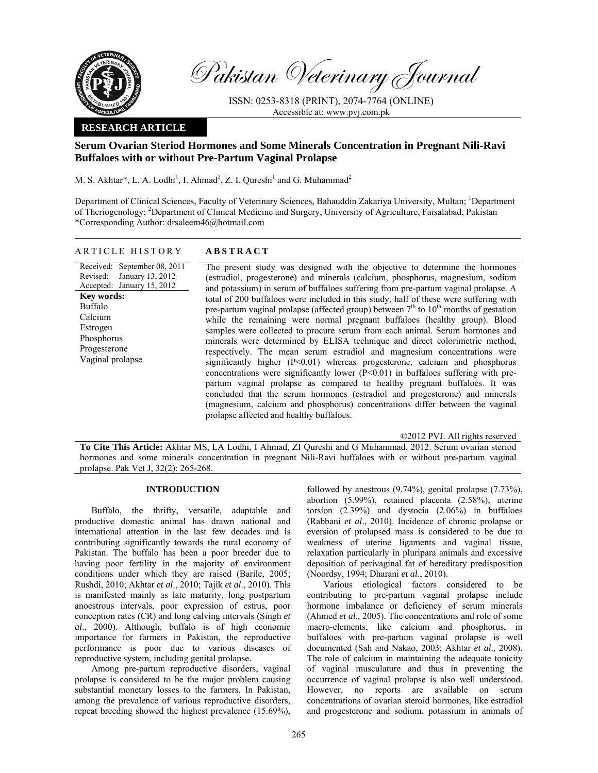

Pakistan Veterinary Journal

ISSN: 0253-8318 (PRINT), 2074-7764 (ONLINE) Accessible at: www.pvj.com.pk

## **RESEARCH ARTICLE**

# **Serum Ovarian Steriod Hormones and Some Minerals Concentration in Pregnant Nili-Ravi Buffaloes with or without Pre-Partum Vaginal Prolapse**

M. S. Akhtar\*, L. A. Lodhi<sup>1</sup>, I. Ahmad<sup>1</sup>, Z. I. Qureshi<sup>1</sup> and G. Muhammad<sup>2</sup>

Department of Clinical Sciences, Faculty of Veterinary Sciences, Bahauddin Zakariya University, Multan; <sup>1</sup>Department of Theriogenology; <sup>2</sup>Department of Clinical Medicine and Surgery, University of Agriculture, Faisalabad, Pakistan \*Corresponding Author: drsaleem46@hotmail.com

# ARTICLE HISTORY **ABSTRACT**

Received: September 08, 2011 Revised: January 13, 2012 Accepted: January 15, 2012 **Key words:**  Buffalo Calcium Estrogen Phosphorus Progesterone Vaginal prolapse

The present study was designed with the objective to determine the hormones (estradiol, progesterone) and minerals (calcium, phosphorus, magnesium, sodium and potassium) in serum of buffaloes suffering from pre-partum vaginal prolapse. A total of 200 buffaloes were included in this study, half of these were suffering with pre-partum vaginal prolapse (affected group) between  $7<sup>th</sup>$  to  $10<sup>th</sup>$  months of gestation while the remaining were normal pregnant buffaloes (healthy group). Blood samples were collected to procure serum from each animal. Serum hormones and minerals were determined by ELISA technique and direct colorimetric method, respectively. The mean serum estradiol and magnesium concentrations were significantly higher (P<0.01) whereas progesterone, calcium and phosphorus concentrations were significantly lower  $(P<0.01)$  in buffaloes suffering with prepartum vaginal prolapse as compared to healthy pregnant buffaloes. It was concluded that the serum hormones (estradiol and progesterone) and minerals (magnesium, calcium and phosphorus) concentrations differ between the vaginal prolapse affected and healthy buffaloes.

©2012 PVJ. All rights reserved

**To Cite This Article:** Akhtar MS, LA Lodhi, I Ahmad, ZI Qureshi and G Muhammad, 2012. Serum ovarian steriod hormones and some minerals concentration in pregnant Nili-Ravi buffaloes with or without pre-partum vaginal prolapse. Pak Vet J, 32(2): 265-268.

## **INTRODUCTION**

Buffalo, the thrifty, versatile, adaptable and productive domestic animal has drawn national and international attention in the last few decades and is contributing significantly towards the rural economy of Pakistan. The buffalo has been a poor breeder due to having poor fertility in the majority of environment conditions under which they are raised (Barile, 2005; Rushdi, 2010; Akhtar *et al*., 2010; Tajik *et al*., 2010). This is manifested mainly as late maturity, long postpartum anoestrous intervals, poor expression of estrus, poor conception rates (CR) and long calving intervals (Singh *et al*., 2000). Although, buffalo is of high economic importance for farmers in Pakistan, the reproductive performance is poor due to various diseases of reproductive system, including genital prolapse.

Among pre-partum reproductive disorders, vaginal prolapse is considered to be the major problem causing substantial monetary losses to the farmers. In Pakistan, among the prevalence of various reproductive disorders, repeat breeding showed the highest prevalence (15.69%),

followed by anestrous (9.74%), genital prolapse (7.73%), abortion (5.99%), retained placenta (2.58%), uterine torsion (2.39%) and dystocia (2.06%) in buffaloes (Rabbani *et al*., 2010). Incidence of chronic prolapse or eversion of prolapsed mass is considered to be due to weakness of uterine ligaments and vaginal tissue, relaxation particularly in pluripara animals and excessive deposition of perivaginal fat of hereditary predisposition (Noordsy, 1994; Dharani *et al*., 2010).

Various etiological factors considered to be contributing to pre-partum vaginal prolapse include hormone imbalance or deficiency of serum minerals (Ahmed *et al.,* 2005). The concentrations and role of some macro-elements, like calcium and phosphorus, in buffaloes with pre-partum vaginal prolapse is well documented (Sah and Nakao, 2003; Akhtar *et al*., 2008). The role of calcium in maintaining the adequate tonicity of vaginal musculature and thus in preventing the occurrence of vaginal prolapse is also well understood. However, no reports are available on serum concentrations of ovarian steroid hormones, like estradiol and progesterone and sodium, potassium in animals of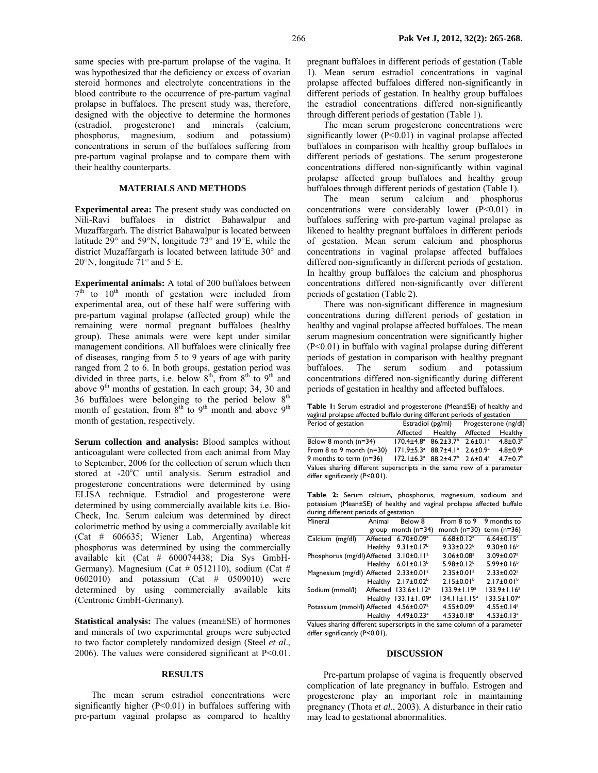same species with pre-partum prolapse of the vagina. It was hypothesized that the deficiency or excess of ovarian steroid hormones and electrolyte concentrations in the blood contribute to the occurrence of pre-partum vaginal prolapse in buffaloes. The present study was, therefore, designed with the objective to determine the hormones (estradiol, progesterone) and minerals (calcium, phosphorus, magnesium, sodium and potassium) concentrations in serum of the buffaloes suffering from pre-partum vaginal prolapse and to compare them with their healthy counterparts.

# **MATERIALS AND METHODS**

**Experimental area:** The present study was conducted on Nili-Ravi buffaloes in district Bahawalpur and Muzaffargarh. The district Bahawalpur is located between latitude 29° and 59°N, longitude 73° and 19°E, while the district Muzaffargarh is located between latitude 30° and 20°N, longitude 71° and 5°E.

**Experimental animals:** A total of 200 buffaloes between  $7<sup>th</sup>$  to  $10<sup>th</sup>$  month of gestation were included from experimental area, out of these half were suffering with pre-partum vaginal prolapse (affected group) while the remaining were normal pregnant buffaloes (healthy group). These animals were were kept under similar management conditions. All buffaloes were clinically free of diseases, ranging from 5 to 9 years of age with parity ranged from 2 to 6. In both groups, gestation period was divided in three parts, i.e. below  $8<sup>th</sup>$ , from  $8<sup>th</sup>$  to  $9<sup>th</sup>$  and above  $9<sup>th</sup>$  months of gestation. In each group; 34, 30 and 36 buffaloes were belonging to the period below  $8<sup>th</sup>$ month of gestation, from  $8<sup>th</sup>$  to  $9<sup>th</sup>$  month and above  $9<sup>th</sup>$ month of gestation, respectively.

**Serum collection and analysis:** Blood samples without anticoagulant were collected from each animal from May to September, 2006 for the collection of serum which then stored at -20°C until analysis. Serum estradiol and progesterone concentrations were determined by using ELISA technique. Estradiol and progesterone were determined by using commercially available kits i.e. Bio-Check, Inc. Serum calcium was determined by direct colorimetric method by using a commercially available kit (Cat # 606635; Wiener Lab, Argentina) whereas phosphorus was determined by using the commercially available kit (Cat # 600074438; Dia Sys GmbH-Germany). Magnesium (Cat # 0512110), sodium (Cat # 0602010) and potassium (Cat # 0509010) were determined by using commercially available kits (Centronic GmbH-Germany).

**Statistical analysis:** The values (mean±SE) of hormones and minerals of two experimental groups were subjected to two factor completely randomized design (Steel *et al*., 2006). The values were considered significant at P<0.01.

### **RESULTS**

The mean serum estradiol concentrations were significantly higher  $(P<0.01)$  in buffaloes suffering with pre-partum vaginal prolapse as compared to healthy pregnant buffaloes in different periods of gestation (Table 1). Mean serum estradiol concentrations in vaginal prolapse affected buffaloes differed non-significantly in different periods of gestation. In healthy group buffaloes the estradiol concentrations differed non-significantly through different periods of gestation (Table 1).

The mean serum progesterone concentrations were significantly lower (P<0.01) in vaginal prolapse affected buffaloes in comparison with healthy group buffaloes in different periods of gestations. The serum progesterone concentrations differed non-significantly within vaginal prolapse affected group buffaloes and healthy group buffaloes through different periods of gestation (Table 1).

The mean serum calcium and phosphorus concentrations were considerably lower  $(P< 0.01)$  in buffaloes suffering with pre-partum vaginal prolapse as likened to healthy pregnant buffaloes in different periods of gestation. Mean serum calcium and phosphorus concentrations in vaginal prolapse affected buffaloes differed non-significantly in different periods of gestation. In healthy group buffaloes the calcium and phosphorus concentrations differed non-significantly over different periods of gestation (Table 2).

There was non-significant difference in magnesium concentrations during different periods of gestation in healthy and vaginal prolapse affected buffaloes. The mean serum magnesium concentration were significantly higher (P<0.01) in buffalo with vaginal prolapse during different periods of gestation in comparison with healthy pregnant buffaloes. The serum sodium and potassium concentrations differed non-significantly during different periods of gestation in healthy and affected buffaloes.

**Table 1:** Serum estradiol and progesterone (Mean±SE) of healthy and vaginal prolapse affected buffalo during different periods of gestation

| Period of gestation                                                  | Estradiol (pg/ml)                                                         |                | Progesterone (ng/dl) |                            |  |  |
|----------------------------------------------------------------------|---------------------------------------------------------------------------|----------------|----------------------|----------------------------|--|--|
|                                                                      | Affected                                                                  | <b>Healthy</b> | Affected             | Healthy                    |  |  |
| Below 8 month $(n=34)$                                               | $170.4 \pm 4.8^{\circ}$ 86.2 $\pm 3.7^{\circ}$ 2.6 $\pm$ 0.1 <sup>a</sup> |                |                      | $4.8 \pm 0.3^{b}$          |  |  |
| From $8$ to $9$ month ( $n=30$ )                                     | $171.9 \pm 5.3^a$ 88.7 $\pm 4.1^b$ 2.6 $\pm 0.9^a$                        |                |                      | $4.8 \pm 0.9^{\circ}$      |  |  |
| 9 months to term (n=36)                                              | $172.1 \pm 6.3^a$ 88.2 $\pm 4.7^b$ 2.6 $\pm 0.4^a$                        |                |                      | $4.7 \pm 0.7$ <sup>b</sup> |  |  |
| Values sharing different superscripts in the same row of a parameter |                                                                           |                |                      |                            |  |  |
| differ significantly (P<0.01).                                       |                                                                           |                |                      |                            |  |  |

**Table 2:** Serum calcium, phosphorus, magnesium, sodioum and potassium (Mean±SE) of healthy and vaginal prolapse affected buffalo during different periods of gestation

| Animal         | Below 8                      | From 8 to 9                                                                                                                                                                                                  | 9 months to                  |
|----------------|------------------------------|--------------------------------------------------------------------------------------------------------------------------------------------------------------------------------------------------------------|------------------------------|
|                |                              | month $(n=30)$                                                                                                                                                                                               | term $(n=36)$                |
|                | $6.70 \pm 0.09^a$            | $6.68 \pm 0.12$ <sup>a</sup>                                                                                                                                                                                 | $6.64 \pm 0.15^a$            |
| <b>Healthy</b> | $9.31 \pm 0.17^b$            | $9.33 \pm 0.22^b$                                                                                                                                                                                            | $9.30 \pm 0.16^b$            |
|                | $3.10 \pm 0.11$ <sup>a</sup> | $3.06 \pm 0.08$ <sup>a</sup>                                                                                                                                                                                 | 3.09±0.07 <sup>a</sup>       |
|                | $6.01 \pm 0.13^b$            | $5.98 \pm 0.12^b$                                                                                                                                                                                            | $5.99 \pm 0.16^b$            |
|                | $2.33 \pm 0.01$ <sup>a</sup> | $2.35 \pm 0.01$ <sup>a</sup>                                                                                                                                                                                 | $2.33 \pm 0.02$ <sup>a</sup> |
|                | 2.17±0.02 <sup>b</sup>       | $2.15 \pm 0.01$ <sup>b</sup>                                                                                                                                                                                 | $2.17 \pm 0.01^b$            |
|                |                              | $133.9 \pm 1.19^a$                                                                                                                                                                                           | $133.9 \pm 1.16^a$           |
|                | $133.1 \pm 1.09^a$           | $134.11 \pm 1.15^a$                                                                                                                                                                                          | $133.5 \pm 1.07^a$           |
|                | $4.56 \pm 0.07$ <sup>a</sup> | $4.55 \pm 0.09^a$                                                                                                                                                                                            | $4.55 \pm 0.14$ <sup>a</sup> |
|                | $4.49 \pm 0.23$ <sup>a</sup> | $4.53 \pm 0.18$ <sup>a</sup>                                                                                                                                                                                 | $4.53 \pm 0.13$ <sup>a</sup> |
|                |                              | group month $(n=34)$<br>Affected<br>Phosphorus (mg/dl) Affected<br>Healthy<br>Magnesium (mg/dl) Affected<br>Healthy<br>Affected 133.6±1.12 <sup>a</sup><br>Healthy<br>Potassium (mmol/l) Affected<br>Healthy |                              |

Values sharing different superscripts in the same column of a parameter differ significantly (P<0.01).

#### **DISCUSSION**

Pre-partum prolapse of vagina is frequently observed complication of late pregnancy in buffalo. Estrogen and progesterone play an important role in maintaining pregnancy (Thota *et al*., 2003). A disturbance in their ratio may lead to gestational abnormalities.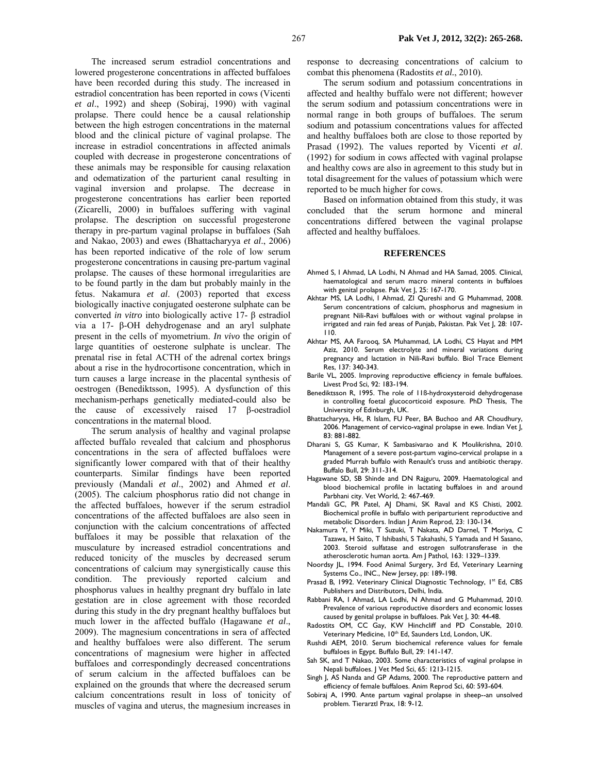267 **Pak Vet J, 2012, 32(2): 265-268.**

The increased serum estradiol concentrations and lowered progesterone concentrations in affected buffaloes have been recorded during this study. The increased in estradiol concentration has been reported in cows (Vicenti *et al*., 1992) and sheep (Sobiraj, 1990) with vaginal prolapse. There could hence be a causal relationship between the high estrogen concentrations in the maternal blood and the clinical picture of vaginal prolapse. The increase in estradiol concentrations in affected animals coupled with decrease in progesterone concentrations of these animals may be responsible for causing relaxation and odematization of the parturient canal resulting in vaginal inversion and prolapse. The decrease in progesterone concentrations has earlier been reported (Zicarelli, 2000) in buffaloes suffering with vaginal prolapse. The description on successful progesterone therapy in pre-partum vaginal prolapse in buffaloes (Sah and Nakao, 2003) and ewes (Bhattacharyya *et al*., 2006) has been reported indicative of the role of low serum progesterone concentrations in causing pre-partum vaginal prolapse. The causes of these hormonal irregularities are to be found partly in the dam but probably mainly in the fetus. Nakamura *et al*. (2003) reported that excess biologically inactive conjugated oesterone sulphate can be converted *in vitro* into biologically active 17- β estradiol via a 17- β-OH dehydrogenase and an aryl sulphate present in the cells of myometrium. *In vivo* the origin of large quantities of oesterone sulphate is unclear. The prenatal rise in fetal ACTH of the adrenal cortex brings about a rise in the hydrocortisone concentration, which in turn causes a large increase in the placental synthesis of oestrogen (Benediktsson, 1995). A dysfunction of this mechanism-perhaps genetically mediated-could also be the cause of excessively raised 17 β-oestradiol concentrations in the maternal blood.

The serum analysis of healthy and vaginal prolapse affected buffalo revealed that calcium and phosphorus concentrations in the sera of affected buffaloes were significantly lower compared with that of their healthy counterparts. Similar findings have been reported previously (Mandali *et al*., 2002) and Ahmed *et al*. (2005). The calcium phosphorus ratio did not change in the affected buffaloes, however if the serum estradiol concentrations of the affected buffaloes are also seen in conjunction with the calcium concentrations of affected buffaloes it may be possible that relaxation of the musculature by increased estradiol concentrations and reduced tonicity of the muscles by decreased serum concentrations of calcium may synergistically cause this condition. The previously reported calcium and phosphorus values in healthy pregnant dry buffalo in late gestation are in close agreement with those recorded during this study in the dry pregnant healthy buffaloes but much lower in the affected buffalo (Hagawane *et al*., 2009). The magnesium concentrations in sera of affected and healthy buffaloes were also different. The serum concentrations of magnesium were higher in affected buffaloes and correspondingly decreased concentrations of serum calcium in the affected buffaloes can be explained on the grounds that where the decreased serum calcium concentrations result in loss of tonicity of muscles of vagina and uterus, the magnesium increases in

response to decreasing concentrations of calcium to combat this phenomena (Radostits *et al.*, 2010).

The serum sodium and potassium concentrations in affected and healthy buffalo were not different; however the serum sodium and potassium concentrations were in normal range in both groups of buffaloes. The serum sodium and potassium concentrations values for affected and healthy buffaloes both are close to those reported by Prasad (1992). The values reported by Vicenti *et al*. (1992) for sodium in cows affected with vaginal prolapse and healthy cows are also in agreement to this study but in total disagreement for the values of potassium which were reported to be much higher for cows.

Based on information obtained from this study, it was concluded that the serum hormone and mineral concentrations differed between the vaginal prolapse affected and healthy buffaloes.

#### **REFERENCES**

- Ahmed S, I Ahmad, LA Lodhi, N Ahmad and HA Samad, 2005. Clinical, haematological and serum macro mineral contents in buffaloes with genital prolapse. Pak Vet J, 25: 167-170.
- Akhtar MS, LA Lodhi, I Ahmad, ZI Qureshi and G Muhammad, 2008. Serum concentrations of calcium, phosphorus and magnesium in pregnant Nili-Ravi buffaloes with or without vaginal prolapse in irrigated and rain fed areas of Punjab, Pakistan. Pak Vet J, 28: 107- 110.
- Akhtar MS, AA Farooq, SA Muhammad, LA Lodhi, CS Hayat and MM Aziz, 2010. Serum electrolyte and mineral variations during pregnancy and lactation in Nili-Ravi buffalo. Biol Trace Element Res, 137: 340-343.
- Barile VL, 2005. Improving reproductive efficiency in female buffaloes. Livest Prod Sci, 92: 183-194.
- Benediktsson R, 1995. The role of 11ß-hydroxysteroid dehydrogenase in controlling foetal glucocorticoid exposure. PhD Thesis, The University of Edinburgh, UK.
- Bhattacharyya, Hk, R Islam, FU Peer, BA Buchoo and AR Choudhury, 2006. Management of cervico-vaginal prolapse in ewe. Indian Vet J, 83: 881-882.
- Dharani S, GS Kumar, K Sambasivarao and K Moulikrishna, 2010. Management of a severe post-partum vagino-cervical prolapse in a graded Murrah buffalo with Renault's truss and antibiotic therapy. Buffalo Bull, 29: 311-314.
- Hagawane SD, SB Shinde and DN Rajguru, 2009. Haematological and blood biochemical profile in lactating buffaloes in and around Parbhani city. Vet World, 2: 467-469.
- Mandali GC, PR Patel, AJ Dhami, SK Raval and KS Chisti, 2002. Biochemical profile in buffalo with periparturient reproductive and metabolic Disorders. Indian J Anim Reprod, 23: 130-134.
- Nakamura Y, Y Miki, T Suzuki, T Nakata, AD Darnel, T Moriya, C Tazawa, H Saito, T Ishibashi, S Takahashi, S Yamada and H Sasano, 2003. Steroid sulfatase and estrogen sulfotransferase in the atherosclerotic human aorta. Am J Pathol, 163: 1329–1339.
- Noordsy JL, 1994. Food Animal Surgery, 3rd Ed, Veterinary Learning Systems Co., INC., New Jersey, pp: 189-198.
- Prasad B, 1992. Veterinary Clinical Diagnostic Technology, 1st Ed, CBS Publishers and Distributors, Delhi, India.
- Rabbani RA, I Ahmad, LA Lodhi, N Ahmad and G Muhammad, 2010. Prevalence of various reproductive disorders and economic losses caused by genital prolapse in buffaloes. Pak Vet J, 30: 44-48.
- Radostits OM, CC Gay, KW Hinchcliff and PD Constable, 2010. Veterinary Medicine, 10<sup>th</sup> Ed, Saunders Ltd, London, UK.
- Rushdi AEM, 2010. Serum biochemical reference values for female buffaloes in Egypt. Buffalo Bull, 29: 141-147.
- Sah SK, and T Nakao, 2003. Some characteristics of vaginal prolapse in Nepali buffaloes. J Vet Med Sci, 65: 1213-1215.
- Singh J, AS Nanda and GP Adams, 2000. The reproductive pattern and efficiency of female buffaloes. Anim Reprod Sci, 60: 593-604.
- Sobiraj A, 1990. Ante partum vaginal prolapse in sheep--an unsolved problem. Tierarztl Prax, 18: 9-12.